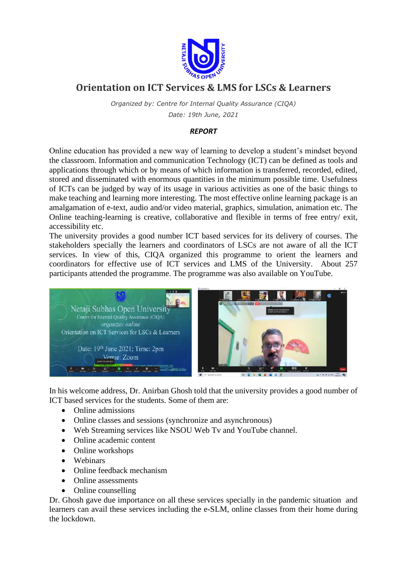

## **Orientation on ICT Services & LMS for LSCs & Learners**

*Organized by: Centre for Internal Quality Assurance (CIQA) Date: 19th June, 2021*

## *REPORT*

Online education has provided a new way of learning to develop a student's mindset beyond the classroom. Information and communication Technology (ICT) can be defined as tools and applications through which or by means of which information is transferred, recorded, edited, stored and disseminated with enormous quantities in the minimum possible time. Usefulness of ICTs can be judged by way of its usage in various activities as one of the basic things to make teaching and learning more interesting. The most effective online learning package is an amalgamation of e-text, audio and/or video material, graphics, simulation, animation etc. The Online teaching-learning is creative, collaborative and flexible in terms of free entry/ exit, accessibility etc.

The university provides a good number ICT based services for its delivery of courses. The stakeholders specially the learners and coordinators of LSCs are not aware of all the ICT services. In view of this, CIQA organized this programme to orient the learners and coordinators for effective use of ICT services and LMS of the University. About 257 participants attended the programme. The programme was also available on YouTube.



In his welcome address, Dr. Anirban Ghosh told that the university provides a good number of ICT based services for the students. Some of them are:

- Online admissions
- Online classes and sessions (synchronize and asynchronous)
- Web Streaming services like NSOU Web Tv and YouTube channel.
- Online academic content
- Online workshops
- Webinars
- Online feedback mechanism
- Online assessments
- Online counselling

Dr. Ghosh gave due importance on all these services specially in the pandemic situation and learners can avail these services including the e-SLM, online classes from their home during the lockdown.